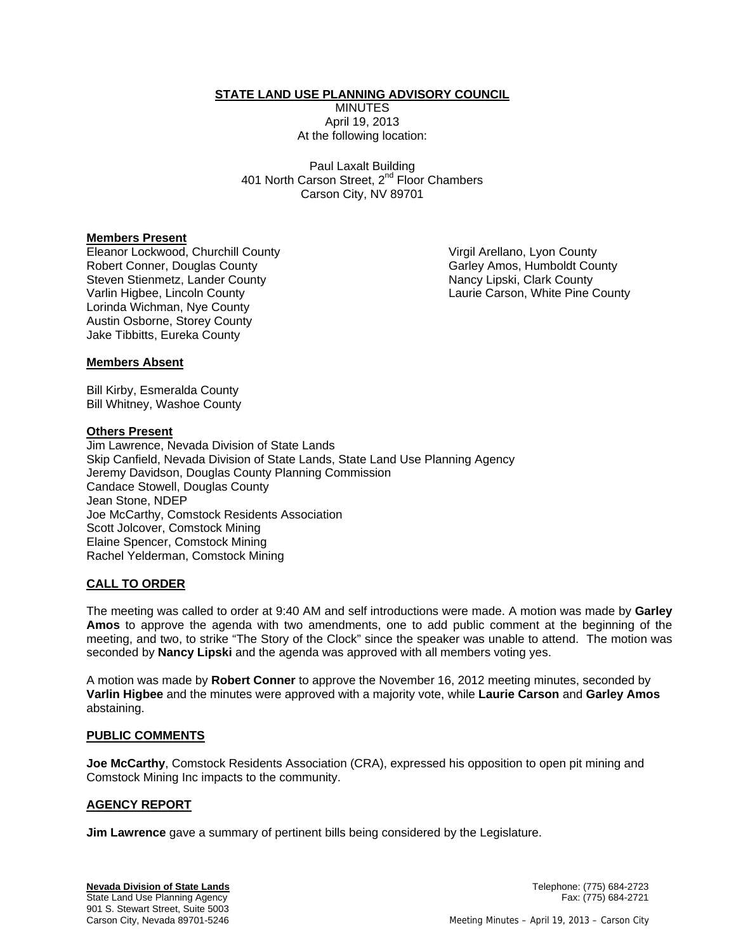**STATE LAND USE PLANNING ADVISORY COUNCIL**

MINUTES April 19, 2013 At the following location:

Paul Laxalt Building 401 North Carson Street, 2<sup>nd</sup> Floor Chambers Carson City, NV 89701

### **Members Present**

Eleanor Lockwood, Churchill County Robert Conner, Douglas County Steven Stienmetz, Lander County Varlin Higbee, Lincoln County Lorinda Wichman, Nye County Austin Osborne, Storey County Jake Tibbitts, Eureka County

Virgil Arellano, Lyon County Garley Amos, Humboldt County Nancy Lipski, Clark County Laurie Carson, White Pine County

## **Members Absent**

Bill Kirby, Esmeralda County Bill Whitney, Washoe County

#### **Others Present**

Jim Lawrence, Nevada Division of State Lands Skip Canfield, Nevada Division of State Lands, State Land Use Planning Agency Jeremy Davidson, Douglas County Planning Commission Candace Stowell, Douglas County Jean Stone, NDEP Joe McCarthy, Comstock Residents Association Scott Jolcover, Comstock Mining Elaine Spencer, Comstock Mining Rachel Yelderman, Comstock Mining

### **CALL TO ORDER**

The meeting was called to order at 9:40 AM and self introductions were made. A motion was made by **Garley Amos** to approve the agenda with two amendments, one to add public comment at the beginning of the meeting, and two, to strike "The Story of the Clock" since the speaker was unable to attend. The motion was seconded by **Nancy Lipski** and the agenda was approved with all members voting yes.

A motion was made by **Robert Conner** to approve the November 16, 2012 meeting minutes, seconded by **Varlin Higbee** and the minutes were approved with a majority vote, while **Laurie Carson** and **Garley Amos**  abstaining.

### **PUBLIC COMMENTS**

**Joe McCarthy**, Comstock Residents Association (CRA), expressed his opposition to open pit mining and Comstock Mining Inc impacts to the community.

### **AGENCY REPORT**

**Jim Lawrence** gave a summary of pertinent bills being considered by the Legislature.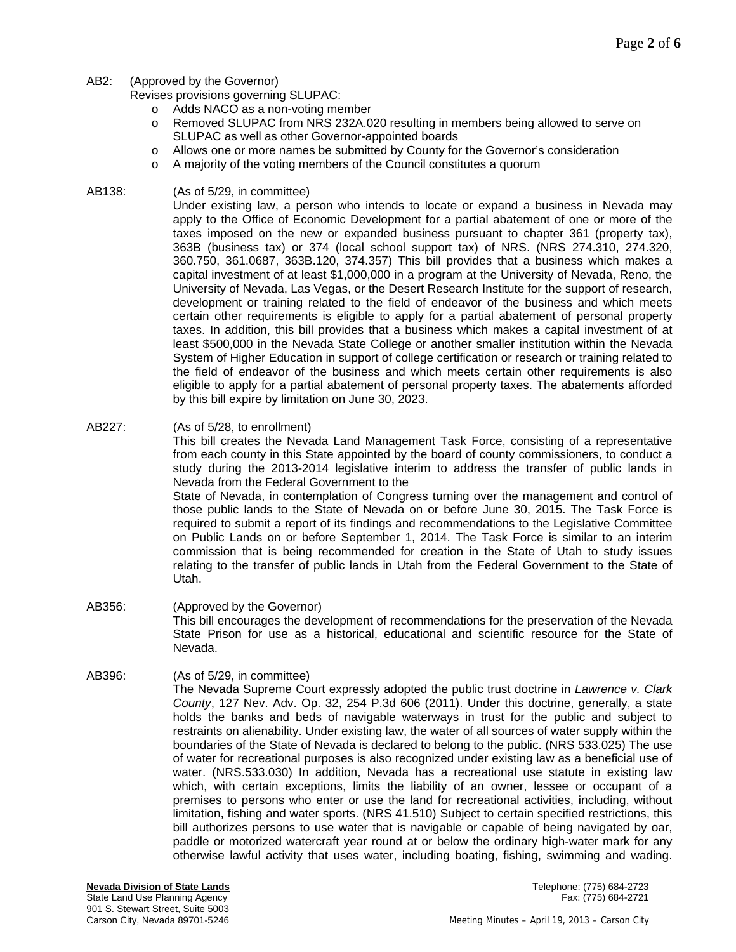AB2: (Approved by the Governor)

Revises provisions governing SLUPAC:

- o Adds NACO as a non-voting member
- o Removed SLUPAC from NRS 232A.020 resulting in members being allowed to serve on SLUPAC as well as other Governor-appointed boards
- o Allows one or more names be submitted by County for the Governor's consideration
- o A majority of the voting members of the Council constitutes a quorum

### AB138: (As of 5/29, in committee)

Under existing law, a person who intends to locate or expand a business in Nevada may apply to the Office of Economic Development for a partial abatement of one or more of the taxes imposed on the new or expanded business pursuant to chapter 361 (property tax), 363B (business tax) or 374 (local school support tax) of NRS. (NRS 274.310, 274.320, 360.750, 361.0687, 363B.120, 374.357) This bill provides that a business which makes a capital investment of at least \$1,000,000 in a program at the University of Nevada, Reno, the University of Nevada, Las Vegas, or the Desert Research Institute for the support of research, development or training related to the field of endeavor of the business and which meets certain other requirements is eligible to apply for a partial abatement of personal property taxes. In addition, this bill provides that a business which makes a capital investment of at least \$500,000 in the Nevada State College or another smaller institution within the Nevada System of Higher Education in support of college certification or research or training related to the field of endeavor of the business and which meets certain other requirements is also eligible to apply for a partial abatement of personal property taxes. The abatements afforded by this bill expire by limitation on June 30, 2023.

AB227: (As of 5/28, to enrollment)

This bill creates the Nevada Land Management Task Force, consisting of a representative from each county in this State appointed by the board of county commissioners, to conduct a study during the 2013-2014 legislative interim to address the transfer of public lands in Nevada from the Federal Government to the

State of Nevada, in contemplation of Congress turning over the management and control of those public lands to the State of Nevada on or before June 30, 2015. The Task Force is required to submit a report of its findings and recommendations to the Legislative Committee on Public Lands on or before September 1, 2014. The Task Force is similar to an interim commission that is being recommended for creation in the State of Utah to study issues relating to the transfer of public lands in Utah from the Federal Government to the State of Utah.

- AB356: (Approved by the Governor) This bill encourages the development of recommendations for the preservation of the Nevada State Prison for use as a historical, educational and scientific resource for the State of Nevada.
- AB396: (As of 5/29, in committee)

The Nevada Supreme Court expressly adopted the public trust doctrine in *Lawrence v. Clark County*, 127 Nev. Adv. Op. 32, 254 P.3d 606 (2011). Under this doctrine, generally, a state holds the banks and beds of navigable waterways in trust for the public and subject to restraints on alienability. Under existing law, the water of all sources of water supply within the boundaries of the State of Nevada is declared to belong to the public. (NRS 533.025) The use of water for recreational purposes is also recognized under existing law as a beneficial use of water. (NRS.533.030) In addition, Nevada has a recreational use statute in existing law which, with certain exceptions, limits the liability of an owner, lessee or occupant of a premises to persons who enter or use the land for recreational activities, including, without limitation, fishing and water sports. (NRS 41.510) Subject to certain specified restrictions, this bill authorizes persons to use water that is navigable or capable of being navigated by oar, paddle or motorized watercraft year round at or below the ordinary high-water mark for any otherwise lawful activity that uses water, including boating, fishing, swimming and wading.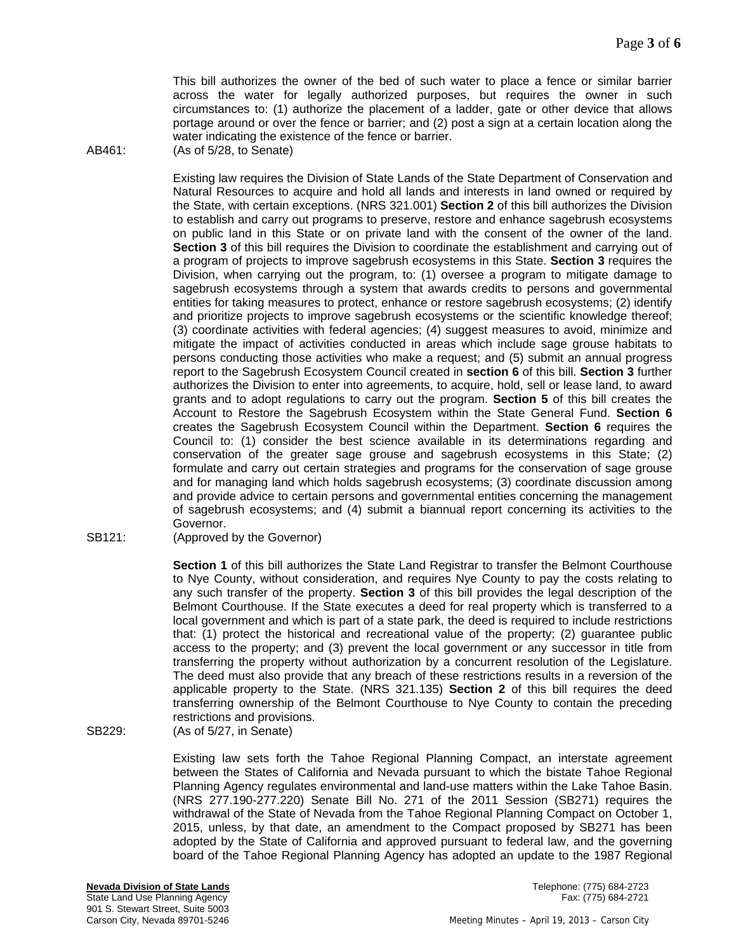This bill authorizes the owner of the bed of such water to place a fence or similar barrier across the water for legally authorized purposes, but requires the owner in such circumstances to: (1) authorize the placement of a ladder, gate or other device that allows portage around or over the fence or barrier; and (2) post a sign at a certain location along the water indicating the existence of the fence or barrier.

AB461: (As of 5/28, to Senate)

Existing law requires the Division of State Lands of the State Department of Conservation and Natural Resources to acquire and hold all lands and interests in land owned or required by the State, with certain exceptions. (NRS 321.001) **Section 2** of this bill authorizes the Division to establish and carry out programs to preserve, restore and enhance sagebrush ecosystems on public land in this State or on private land with the consent of the owner of the land. **Section 3** of this bill requires the Division to coordinate the establishment and carrying out of a program of projects to improve sagebrush ecosystems in this State. **Section 3** requires the Division, when carrying out the program, to: (1) oversee a program to mitigate damage to sagebrush ecosystems through a system that awards credits to persons and governmental entities for taking measures to protect, enhance or restore sagebrush ecosystems; (2) identify and prioritize projects to improve sagebrush ecosystems or the scientific knowledge thereof; (3) coordinate activities with federal agencies; (4) suggest measures to avoid, minimize and mitigate the impact of activities conducted in areas which include sage grouse habitats to persons conducting those activities who make a request; and (5) submit an annual progress report to the Sagebrush Ecosystem Council created in **section 6** of this bill. **Section 3** further authorizes the Division to enter into agreements, to acquire, hold, sell or lease land, to award grants and to adopt regulations to carry out the program. **Section 5** of this bill creates the Account to Restore the Sagebrush Ecosystem within the State General Fund. **Section 6**  creates the Sagebrush Ecosystem Council within the Department. **Section 6** requires the Council to: (1) consider the best science available in its determinations regarding and conservation of the greater sage grouse and sagebrush ecosystems in this State; (2) formulate and carry out certain strategies and programs for the conservation of sage grouse and for managing land which holds sagebrush ecosystems; (3) coordinate discussion among and provide advice to certain persons and governmental entities concerning the management of sagebrush ecosystems; and (4) submit a biannual report concerning its activities to the Governor.

SB121: (Approved by the Governor)

**Section 1** of this bill authorizes the State Land Registrar to transfer the Belmont Courthouse to Nye County, without consideration, and requires Nye County to pay the costs relating to any such transfer of the property. **Section 3** of this bill provides the legal description of the Belmont Courthouse. If the State executes a deed for real property which is transferred to a local government and which is part of a state park, the deed is required to include restrictions that: (1) protect the historical and recreational value of the property; (2) guarantee public access to the property; and (3) prevent the local government or any successor in title from transferring the property without authorization by a concurrent resolution of the Legislature. The deed must also provide that any breach of these restrictions results in a reversion of the applicable property to the State. (NRS 321.135) **Section 2** of this bill requires the deed transferring ownership of the Belmont Courthouse to Nye County to contain the preceding restrictions and provisions.

SB229: (As of 5/27, in Senate)

Existing law sets forth the Tahoe Regional Planning Compact, an interstate agreement between the States of California and Nevada pursuant to which the bistate Tahoe Regional Planning Agency regulates environmental and land-use matters within the Lake Tahoe Basin. (NRS 277.190-277.220) Senate Bill No. 271 of the 2011 Session (SB271) requires the withdrawal of the State of Nevada from the Tahoe Regional Planning Compact on October 1, 2015, unless, by that date, an amendment to the Compact proposed by SB271 has been adopted by the State of California and approved pursuant to federal law, and the governing board of the Tahoe Regional Planning Agency has adopted an update to the 1987 Regional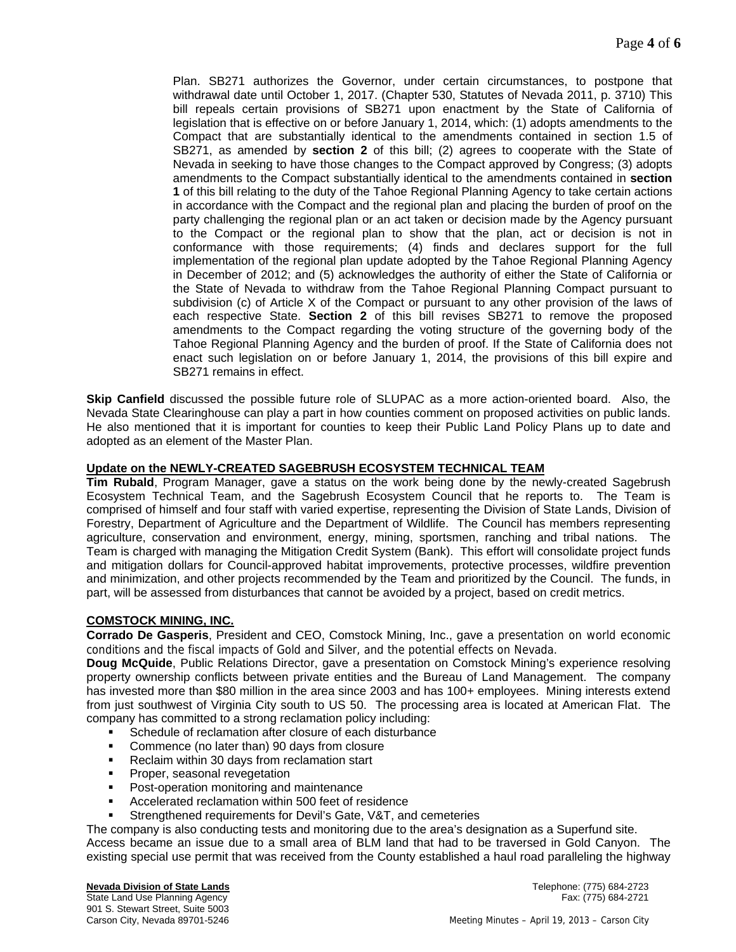Plan. SB271 authorizes the Governor, under certain circumstances, to postpone that withdrawal date until October 1, 2017. (Chapter 530, Statutes of Nevada 2011, p. 3710) This bill repeals certain provisions of SB271 upon enactment by the State of California of legislation that is effective on or before January 1, 2014, which: (1) adopts amendments to the Compact that are substantially identical to the amendments contained in section 1.5 of SB271, as amended by **section 2** of this bill; (2) agrees to cooperate with the State of Nevada in seeking to have those changes to the Compact approved by Congress; (3) adopts amendments to the Compact substantially identical to the amendments contained in **section 1** of this bill relating to the duty of the Tahoe Regional Planning Agency to take certain actions in accordance with the Compact and the regional plan and placing the burden of proof on the party challenging the regional plan or an act taken or decision made by the Agency pursuant to the Compact or the regional plan to show that the plan, act or decision is not in conformance with those requirements; (4) finds and declares support for the full implementation of the regional plan update adopted by the Tahoe Regional Planning Agency in December of 2012; and (5) acknowledges the authority of either the State of California or the State of Nevada to withdraw from the Tahoe Regional Planning Compact pursuant to subdivision (c) of Article X of the Compact or pursuant to any other provision of the laws of each respective State. **Section 2** of this bill revises SB271 to remove the proposed amendments to the Compact regarding the voting structure of the governing body of the Tahoe Regional Planning Agency and the burden of proof. If the State of California does not enact such legislation on or before January 1, 2014, the provisions of this bill expire and SB271 remains in effect.

**Skip Canfield** discussed the possible future role of SLUPAC as a more action-oriented board. Also, the Nevada State Clearinghouse can play a part in how counties comment on proposed activities on public lands. He also mentioned that it is important for counties to keep their Public Land Policy Plans up to date and adopted as an element of the Master Plan.

## **Update on the NEWLY-CREATED SAGEBRUSH ECOSYSTEM TECHNICAL TEAM**

**Tim Rubald**, Program Manager, gave a status on the work being done by the newly-created Sagebrush Ecosystem Technical Team, and the Sagebrush Ecosystem Council that he reports to. The Team is comprised of himself and four staff with varied expertise, representing the Division of State Lands, Division of Forestry, Department of Agriculture and the Department of Wildlife. The Council has members representing agriculture, conservation and environment, energy, mining, sportsmen, ranching and tribal nations. The Team is charged with managing the Mitigation Credit System (Bank). This effort will consolidate project funds and mitigation dollars for Council-approved habitat improvements, protective processes, wildfire prevention and minimization, and other projects recommended by the Team and prioritized by the Council. The funds, in part, will be assessed from disturbances that cannot be avoided by a project, based on credit metrics.

### **COMSTOCK MINING, INC.**

**Corrado De Gasperis**, President and CEO, Comstock Mining, Inc., gave a presentation on world economic conditions and the fiscal impacts of Gold and Silver, and the potential effects on Nevada.

**Doug McQuide**, Public Relations Director, gave a presentation on Comstock Mining's experience resolving property ownership conflicts between private entities and the Bureau of Land Management. The company has invested more than \$80 million in the area since 2003 and has 100+ employees. Mining interests extend from just southwest of Virginia City south to US 50. The processing area is located at American Flat. The company has committed to a strong reclamation policy including:

- **Schedule of reclamation after closure of each disturbance**
- **Commence (no later than) 90 days from closure**
- Reclaim within 30 days from reclamation start
- **Proper, seasonal revegetation**
- Post-operation monitoring and maintenance
- Accelerated reclamation within 500 feet of residence
- Strengthened requirements for Devil's Gate, V&T, and cemeteries

The company is also conducting tests and monitoring due to the area's designation as a Superfund site. Access became an issue due to a small area of BLM land that had to be traversed in Gold Canyon. The existing special use permit that was received from the County established a haul road paralleling the highway

**Nevada Division of State Lands** Telephone: (775) 684-2723

901 S. Stewart Street, Suite 5003

State Land Use Planning Agency Fax: (775) 684-2721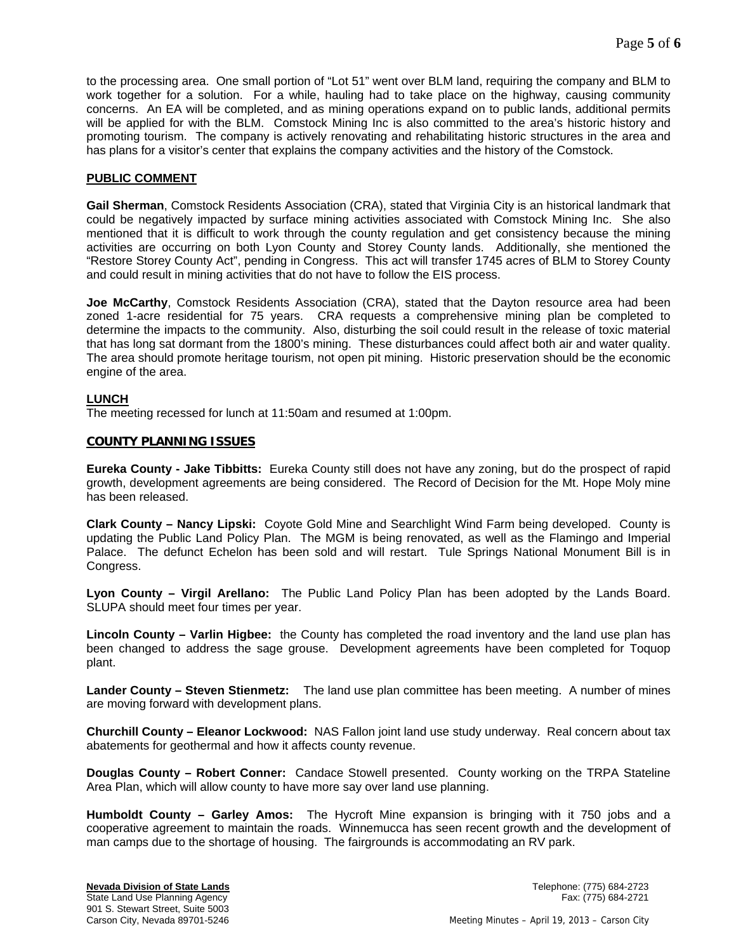to the processing area. One small portion of "Lot 51" went over BLM land, requiring the company and BLM to work together for a solution. For a while, hauling had to take place on the highway, causing community concerns. An EA will be completed, and as mining operations expand on to public lands, additional permits will be applied for with the BLM. Comstock Mining Inc is also committed to the area's historic history and promoting tourism. The company is actively renovating and rehabilitating historic structures in the area and has plans for a visitor's center that explains the company activities and the history of the Comstock.

## **PUBLIC COMMENT**

**Gail Sherman**, Comstock Residents Association (CRA), stated that Virginia City is an historical landmark that could be negatively impacted by surface mining activities associated with Comstock Mining Inc. She also mentioned that it is difficult to work through the county regulation and get consistency because the mining activities are occurring on both Lyon County and Storey County lands. Additionally, she mentioned the "Restore Storey County Act", pending in Congress. This act will transfer 1745 acres of BLM to Storey County and could result in mining activities that do not have to follow the EIS process.

**Joe McCarthy**, Comstock Residents Association (CRA), stated that the Dayton resource area had been zoned 1-acre residential for 75 years. CRA requests a comprehensive mining plan be completed to determine the impacts to the community. Also, disturbing the soil could result in the release of toxic material that has long sat dormant from the 1800's mining. These disturbances could affect both air and water quality. The area should promote heritage tourism, not open pit mining. Historic preservation should be the economic engine of the area.

## **LUNCH**

The meeting recessed for lunch at 11:50am and resumed at 1:00pm.

## **COUNTY PLANNING ISSUES**

**Eureka County - Jake Tibbitts:** Eureka County still does not have any zoning, but do the prospect of rapid growth, development agreements are being considered. The Record of Decision for the Mt. Hope Moly mine has been released.

**Clark County – Nancy Lipski:** Coyote Gold Mine and Searchlight Wind Farm being developed. County is updating the Public Land Policy Plan. The MGM is being renovated, as well as the Flamingo and Imperial Palace. The defunct Echelon has been sold and will restart. Tule Springs National Monument Bill is in Congress.

**Lyon County – Virgil Arellano:** The Public Land Policy Plan has been adopted by the Lands Board. SLUPA should meet four times per year.

**Lincoln County – Varlin Higbee:** the County has completed the road inventory and the land use plan has been changed to address the sage grouse. Development agreements have been completed for Toquop plant.

**Lander County – Steven Stienmetz:** The land use plan committee has been meeting. A number of mines are moving forward with development plans.

**Churchill County – Eleanor Lockwood:** NAS Fallon joint land use study underway. Real concern about tax abatements for geothermal and how it affects county revenue.

**Douglas County – Robert Conner:** Candace Stowell presented. County working on the TRPA Stateline Area Plan, which will allow county to have more say over land use planning.

**Humboldt County – Garley Amos:** The Hycroft Mine expansion is bringing with it 750 jobs and a cooperative agreement to maintain the roads. Winnemucca has seen recent growth and the development of man camps due to the shortage of housing. The fairgrounds is accommodating an RV park.